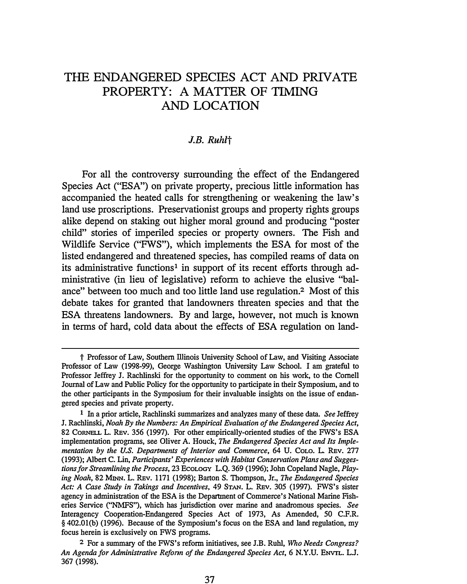# THE ENDANGERED SPECIES ACT AND PRIVATE PROPERTY: A MATTER OF TIMING **AND LOCATION**

#### *J.B. Ruhlt*

For all the controversy surrounding the effect of the Endangered Species Act ("ESA") on private property, precious little information has accompanied the heated calls for strengthening or weakening the law's land use proscriptions. Preservationist groups and property rights groups alike depend on staking out higher moral ground and producing "poster child" stories of imperiled species or property owners. The Fish and Wildlife Service ("FWS"), which implements the ESA for most of the listed endangered and threatened species, has compiled reams of data on its administrative functions**1** in support of its recent efforts through administrative (in lieu of legislative) reform to achieve the elusive "balance" between too much and too little land use regulation.**2** Most of this debate takes for granted that landowners threaten species and that the ESA threatens landowners. By and large, however, not much is known in terms of hard, cold data about the effects of ESA regulation on land-

**t Professor of Law, Southern Illinois University School of Law, and Visiting Associate Professor of Law (1998-99), George Washington University Law School. I am grateful to Professor Jeffrey J. Rachlinski for the opportunity to comment on his work, to the Cornell Journal of Law and Public Policy for the opportunity to participate in their Symposium, and to the other participants in the Symposium for their invaluable insights on the issue of endangered species and private property.** 

**<sup>1</sup> In a prior article, Rachlinski summarizes and analyzes many of these data.** *See* **Jeffrey J. Rachlinski,** *Noah By the Numbers: An Empirical Evaluation of the Endangered Species Act,* **82 CORNELL L. REv. 356 (1997). For other empirically-oriented studies of the FWS's ESA implementation programs, see Oliver A. Houck,** *The Endangered Species Act and Its Implementation by the U.S. Departments of Interior and Commerce,* **64 U. CoLO. L. REv. 277 (1993); Albert C. Lin,** *Participants' Experiences with Habitat Conservation Plans and Suggestions for Streamlining the Process,* **23 EcoLOGY L.Q. 369 (1996); John Copeland Nagle,** *Playing Noah,* **82 MINN. L. REv. 1171 (1998); Barton S. Thompson, Jr.,** *The Endangered Species Act: A Case Study in Takings and Incentives,* **49 STAN. L. REV. 305 (1997). FWS's sister agency in administration of the ESA is the Department of Commerce's National Marine Fisheries Service (''NMFS"), which has jurisdiction over marine and anadromous species.** *See*  **Interagency Cooperation-Endangered Species Act of 1973, As Amended, 50 C.F.R. § 402.0l(b) (1996). Because of the Symposium's focus on the ESA and land regulation, my focus herein is exclusively on FWS programs.**

**<sup>2</sup> For a summary of the FWS's reform initiatives, see J.B. Ruhl,** *Who Needs Congress? An Agenda for Administrative Refonn of the Endangered Species Act,* **6 N.Y.U. ENVTL. L.J. 367 (1998).**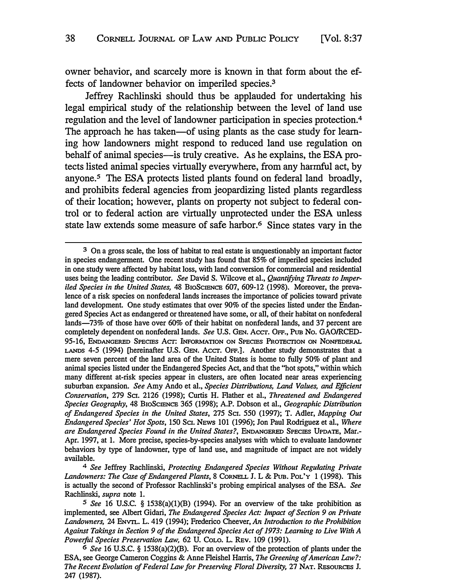owner behavior, and scarcely more is known in that form about the effects of landowner behavior on imperiled species. **<sup>3</sup>**

Jeffrey Rachlinski should thus be applauded for undertaking his legal empirical study of the relationship between the level of land use regulation and the level of landowner participation in species protection.**<sup>4</sup>** The approach he has taken-of using plants as the case study for learning how landowners might respond to reduced land use regulation on behalf of animal species-is truly creative. As he explains, the ESA protects listed animal species virtually everywhere, from any harmful act, by anyone.**5** The ESA protects listed plants found on federal land broadly, and prohibits federal agencies from jeopardizing listed plants regardless of their location; however, plants on property not subject to federal control or to federal action are virtually unprotected under the ESA unless state law extends some measure of safe harbor. **6** Since states vary in the

**<sup>3</sup>***On a gross scale, the loss of habitat to real estate is unquestionably an important factor in species endangerment. One recent study has found that 85% of imperiled species included in one study were affected by habitat loss, with land conversion for commercial and residential uses being the leading contributor. See David S. Wilcove et al., Quantifying Threats to Imperiled Species in the United States, 48 BIOSCIENCE 607, 609-12 (1998). Moreover, the preva*lence of a risk species on nonfederal lands increases the importance of policies toward private *land development. One study estimates that over 90% of the species listed under the Endangered Species Act as endangered or threatened have some, or all, of their habitat on nonfederal lands-73% of those have over 60% of their habitat on nonfederal lands, and 37 percent are completely dependent on nonfederal lands. See U.S. GEN. Accr. OFF., PuB No. GAO/RCED-95-16, ENDANGERED SPECIES Acr: INFORMATION ON SPECIES PROTECTION ON NONFEDERAL LANDS 4-5 (1994) [hereinafter U.S. GEN. Accr. OFF.]. Another study demonstrates that a mere seven percent of the land area of the United States is home to fully 50% of plant and animal species listed under the Endangered Species Act, and that the "hot spots," within which many different at-risk species appear in clusters, are often located near areas experiencing suburban expansion. See Amy Ando et al., Species Distributions, Land Values, and Efficient Conservation, 279 SCI. 2126 (1998); Curtis H. Flather et al., Threatened and Endangered Species Geography, 48 BIOSCIENCE 365 (1998); A.P. Dobson et al., Geographic Distribution of Endangered Species in the United States, 275 SCI. 550 (1997); T. Adler, Mapping Out Endangered Species' Hot Spots, 150 Sci. NEWS 101 (1996); Jon Paul Rodriguez et al., Where are Endangered Species Found in the United States?, ENDANGERED SPECIES UPDATE, Mar. Apr. 1997, at 1. More precise, species-by-species analyses with which to evaluate landowner behaviors by type of landowner, type of land use, and magnitude of impact are not widely available.*

*<sup>4</sup> See Jeffrey Rachlinski, Protecting Endangered Species Without Regulating Private Landowners: The Case of Endangered Plants, 8 CORNELL J. L & PuB. PoL'Y 1 (1998). This is actually the second of Professor Rachlinski's probing empirical analyses of the ESA. See Rachlinski, supra note 1.* 

*<sup>5</sup>See 16 U.S.C. § 1538(a)(l)(B) (1994). For an overview of the take prohibition as implemented, see Albert Gidari, The Endangered Species Act: Impact of Section 9 on Private Landowners, 24 ENVIL. L. 419 (1994); Frederico Cheever, An Introduction to the Prohibition Against Takings in Section 9 of the Endangered Species Act of 1973: Leaming to Live With A Powerful Species Preservation Law, 62 U. CoLO. L. REv. 109 (1991).* 

*<sup>6</sup> See 16 U.S.C. § 1538(a)(2)(B). For an overview of the protection of plants under the ESA, see George Cameron Coggins & Anne Fleishel Harris, The Greening of American Law?: The Recent Evolution of Federal Law for Preserving Floral Diversity, 27 NAT. REsoURCES J. 247 (1987).*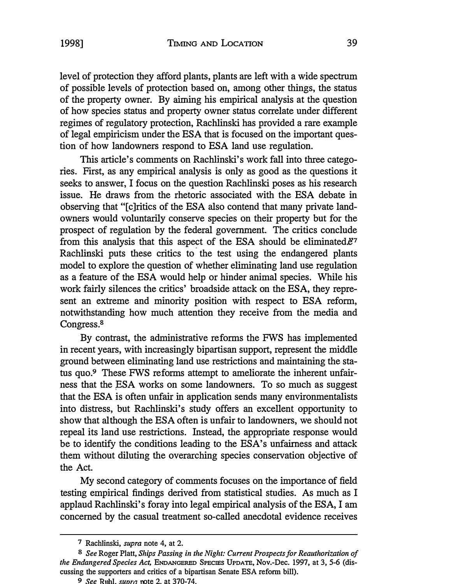level of protection they afford plants, plants are left with a wide spectrum of possible levels of protection based on, among other things, the status of the property owner. By aiming his empirical analysis at the question of how species status and property owner status correlate under different regimes of regulatory protection, Rachlinski has provided a rare example of legal empiricism under the ESA that is focused on the important question of how landowners respond to ESA land use regulation.

This article's comments on Rachlinski's work fall into three categories. First, as any empirical analysis is only as good as the questions it seeks to answer, I focus on the question Rachlinski poses as his research issue. He draws from the rhetoric associated with the ESA debate in observing that "[c]ritics of the ESA also contend that many private landowners would voluntarily conserve species on their property but for the prospect of regulation by the federal government. The critics conclude from this analysis that this aspect of the ESA should be eliminated. $e^7$ Rachlinski puts these critics to the test using the endangered plants model to explore the question of whether eliminating land use regulation as a feature of the ESA would help or hinder animal species. While his work fairly silences the critics' broadside attack on the ESA, they represent an extreme and minority position with respect to ESA reform, notwithstanding how much attention they receive from the media and Congress.*8* 

By contrast, the administrative reforms the FWS has implemented in recent years, with increasingly bipartisan support, represent the middle ground between eliminating land use restrictions and maintaining the status quo.**9** These FWS reforms attempt to ameliorate the inherent unfairness that the ESA works on some landowners. To so much as suggest that the ESA is often unfair in application sends many environmentalists into distress, but Rachlinski's study offers an excellent opportunity to show that although the ESA often is unfair to landowners, we should not repeal its land use restrictions. Instead, the appropriate response would be to identify the conditions leading to the ESA's unfairness and attack them without diluting the overarching species conservation objective of the Act.

My second category of comments focuses on the importance of field testing empirical findings derived from statistical studies. As much as I applaud Rachlinski's foray into legal empirical analysis of the ESA, I am concerned by the casual treatment so-called anecdotal evidence receives

*<sup>7</sup> Rachlinski, supra note 4, at 2.* 

*<sup>8</sup> See Roger Platt, Ships Passing in the Night: Current Prospects for Reauthorization of the Endangered Species Act, ENDANGERED SPECIES UPDATE, Nov.-Dec. 1997, at 3, 5-6 (discussing the supporters and critics of a bipartisan Senate ESA reform bill).* 

*<sup>9</sup> See bl. suur, ote 2. at 370-74.*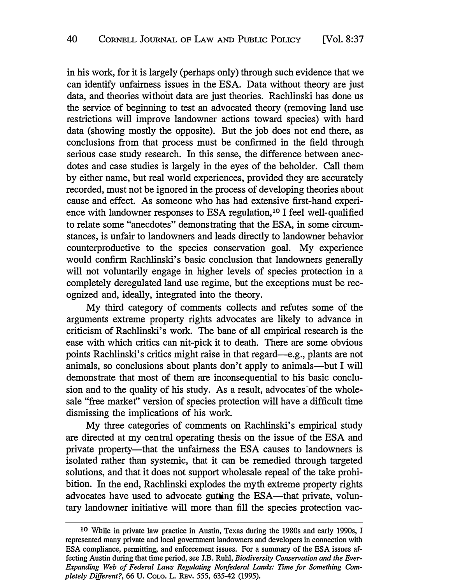in his work, for it is largely (perhaps only) through such evidence that we can identify unfairness issues in the ESA. Data without theory are just data, and theories without data are just theories. Rachlinski has done us the service of beginning to test an advocated theory (removing land use restrictions will improve landowner actions toward species) with hard data (showing mostly the opposite). But the job does not end there, as conclusions from that process must be confirmed in the field through serious case study research. In this sense, the difference between anecdotes and case studies is largely in the eyes of the beholder. Call them by either name, but real world experiences, provided they are accurately recorded, must not be ignored in the process of developing theories about cause and effect. As someone who has had extensive first-hand experience with landowner responses to ESA regulation, 10 I feel well-qualified to relate some "anecdotes" demonstrating that the ESA, in some circumstances, is unfair to landowners and leads directly to landowner behavior counterproductive to the species conservation goal. My experience would confirm Rachlinski's basic conclusion that landowners generally will not voluntarily engage in higher levels of species protection in a completely deregulated land use regime, but the exceptions must be recognized and, ideally, integrated into the theory.

My third category of comments collects and refutes some of the arguments extreme property rights advocates are likely to advance in criticism of Rachlinski's work. The bane of all empirical research is the ease with which critics can nit-pick it to death. There are some obvious points Rachlinski's critics might raise in that regard-e.g., plants are not animals, so conclusions about plants don't apply to animals—but I will demonstrate that most of them are inconsequential to his basic conclusion and to the quality of his study. As a result, advocates of the wholesale "free market" version of species protection will have a difficult time dismissing the implications of his work.

My three categories of comments on Rachlinski's empirical study are directed at my central operating thesis on the issue of the ESA and private property—that the unfairness the ESA causes to landowners is isolated rather than systemic, that it can be remedied through targeted solutions, and that it does not support wholesale repeal of the take prohibition. In the end, Rachlinski explodes the myth extreme property rights advocates have used to advocate gutting the ESA—that private, voluntary landowner initiative will more than fill the species protection vac-

<sup>10</sup> **While in private law practice in Austin, Texas during the 1980s and early 1990s, I represented many private and local government landowners and developers in connection with ESA compliance, permitting, and enforcement issues. For a summary of the ESA issues affecting Austin during that time period, see J.B. Ruhl,** *Biodiversity Conservation and the Ever-Expanding Web of Federal Laws Regulating Nonfederal Lands: Time for Something Completely Different?,* **66 U. CoLO. L. REv. 555, 635-42 (1995).**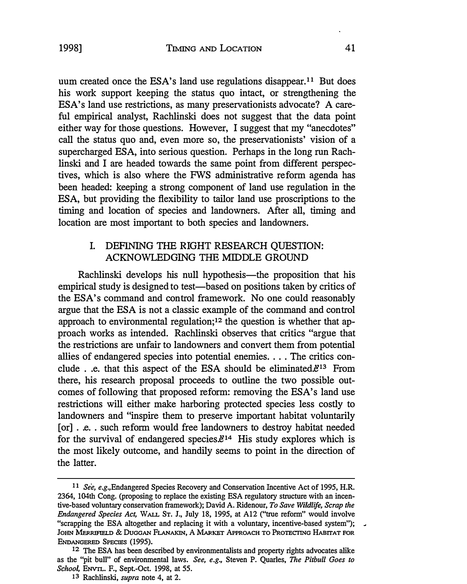uum created once the ESA's land use regulations [disappear.](https://disappear.11)**11** But does his work support keeping the status quo intact, or strengthening the ESA's land use restrictions, as many preservationists advocate? A careful empirical analyst, Rachlinski does not suggest that the data point either way for those questions. However, I suggest that my "anecdotes" call the status quo and, even more so, the preservationists' vision of a supercharged ESA, into serious question. Perhaps in the long run Rachlinski and I are headed towards the same point from different perspectives, which is also where the FWS administrative reform agenda has been headed: keeping a strong component of land use regulation in the ESA, but providing the flexibility to tailor land use proscriptions to the timing and location of species and landowners. After all, timing and location are most important to both species and landowners.

## I. DEFINING THE RIGHT RESEARCH QUESTION: ACKNOWLEDGING THE MIDDLE GROUND

Rachlinski develops his null hypothesis—the proposition that his empirical study is designed to test—based on positions taken by critics of the ESA's command and control framework. No one could reasonably argue that the ESA is not a classic example of the command and control approach to environmental regulation;**12** the question is whether that approach works as intended. Rachlinski observes that critics "argue that the restrictions are unfair to landowners and convert them from potential allies of endangered species into potential enemies. . . . The critics conclude  $\ldots$  e. that this aspect of the ESA should be eliminated. $e^{i3}$  From there, his research proposal proceeds to outline the two possible outcomes of following that proposed reform: removing the ESA's land use restrictions will either make harboring protected species less costly to landowners and "inspire them to preserve important habitat voluntarily [or] . e... such reform would free landowners to destroy habitat needed for the survival of endangered species. $\mathcal{E}^{14}$  His study explores which is the most likely outcome, and handily seems to point in the direction of the latter.

**<sup>11</sup>** *See, e.g.,Endangered Species Recovery and Conservation Incentive Act of 1995, H.R. 2364, 104th Cong. (proposing to replace the existing ESA regulatory structure with an incentive-based voluntary conservation framework); David A. Ridenour, To Save Wildlife, Scrap the Endangered Species Act, WALL ST. J., July 18, 1995, at A12 ("true reform" would involve "scrapping the ESA altogether and replacing it with a voluntary, incentive-based system");*  JOHN MERRIFIELD & DUGGAN FLANAKIN, A MARKET APPROACH TO PROTECTING HABITAT FOR *ENDANGERED SPECIES (1995).* 

**<sup>12</sup>** *The ESA has been described by environmentalists and property rights advocates alike as the "pit bull" of environmental laws. See, e.g., Steven P. Quarles, The Pitbull Goes to Schoo� ENVTL. F., Sept-Oct. 1998, at 55.* 

**<sup>13</sup>** *Rachlinski, supra note 4, at 2.*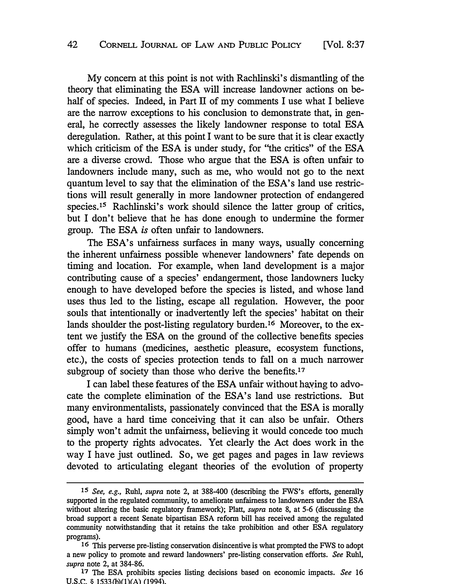My concern at this point is not with Rachlinski's dismantling of the theory that eliminating the BSA will increase landowner actions on behalf of species. Indeed, in Part II of my comments I use what I believe are the narrow exceptions to his conclusion to demonstrate that, in general, he correctly assesses the likely landowner response to total BSA deregulation. Rather, at this point I want to be sure that it is clear exactly which criticism of the ESA is under study, for "the critics" of the ESA are a diverse crowd. Those who argue that the BSA is often unfair to landowners include many, such as me, who would not go to the next quantum level to say that the elimination of the ESA's land use restrictions will result generally in more landowner protection of endangered [species.](https://species.15)**15** Rachlinski's work should silence the latter group of critics, but I don't believe that he has done enough to undermine the former group. The BSA *is* often unfair to landowners.

The ESA's unfairness surfaces in many ways, usually concerning the inherent unfairness possible whenever landowners' fate depends on timing and location. For example, when land development is a major contributing cause of a species' endangerment, those landowners lucky enough to have developed before the species is listed, and whose land uses thus led to the listing, escape all regulation. However, the poor souls that intentionally or inadvertently left the species' habitat on their lands shoulder the post-listing regulatory [burden.](https://burden.16)**16** Moreover, to the extent we justify the BSA on the ground of the collective benefits species offer to humans (medicines, aesthetic pleasure, ecosystem functions, etc.), the costs of species protection tends to fall on a much narrower subgroup of society than those who derive the [benefits.](https://benefits.17)**<sup>17</sup>**

I can label these features of the ESA unfair without having to advocate the complete elimination of the ESA's land use restrictions. But many environmentalists, passionately convinced that the ESA is morally good, have a hard time conceiving that it can also be unfair. Others simply won't admit the unfairness, believing it would concede too much to the property rights advocates. Yet clearly the Act does work in the way I have just outlined. So, we get pages and pages in law reviews devoted to articulating elegant theories of the evolution of property

**<sup>15</sup>** *See, e.g., Ruhl, supra note 2, at 388-400 (describing the FWS's efforts, generally supported in the regulated community, to ameliorate unfairness to landowners under the ESA without altering the basic regulatory framework); Platt, supra note 8, at 5-6 (discussing the broad support a recent Senate bipartisan ESA reform bill has received among the regulated community notwithstanding that it retains the take prohibition and other ESA regulatory programs).* 

**<sup>16</sup>** *This perverse pre-listing conservation disincentive is what prompted the FWS to adopt a new policy to promote and reward landowners' pre-listing conservation efforts. See Ruhl, supra note 2, at 384-86.* 

*<sup>17</sup> The ESA prohibits species listing decisions based on economic impacts. See 16 U.S.C. 6 1533 )(l)(A) (1994).*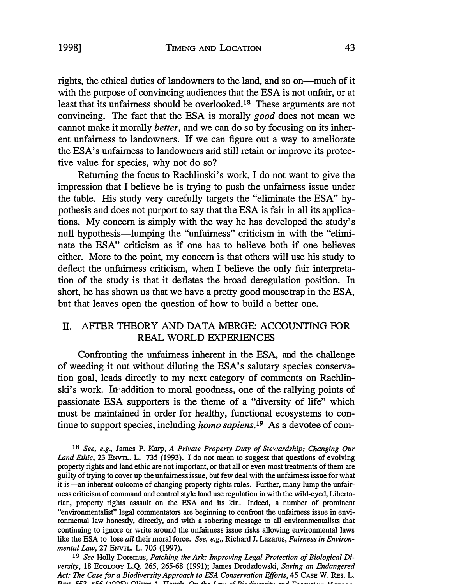rights, the ethical duties of landowners to the land, and so on—much of it with the purpose of convincing audiences that the ESA is not unfair, or at least that its unfairness should be [overlooked.](https://overlooked.18)**18** These arguments are not convincing. The fact that the ESA is morally *good* does not mean we cannot make it morally *better,* and we can do so by focusing on its inherent unfairness to landowners. **If** we can figure out a way to ameliorate the ESA's unfairness to landowners and still retain or improve its protective value for species, why not do so?

Returning the focus to Rachlinski's work, I do not want to give the impression that I believe he is trying to push the unfairness issue under the table. His study very carefully targets the "eliminate the ESA" hypothesis and does not purport to say that the ESA is fair in all its applications. My concern is simply with the way he has developed the study's null hypothesis—lumping the "unfairness" criticism in with the "eliminate the ESA" criticism as if one has to believe both if one believes either. More to the point, my concern is that others will use his study to deflect the unfairness criticism, when I believe the only fair interpretation of the study is that it deflates the broad deregulation position. **In**  short, he has shown us that we have a pretty good mousetrap in the ESA, but that leaves open the question of how to build a better one.

## Il. AFTER THEORY AND DATA MERGE: ACCOUNTING FOR REAL WORLD EXPERIENCES

Confronting the unfairness inherent in the ESA, and the challenge of weeding it out without diluting the ESA's salutary species conservation goal, leads directly to my next category of comments on Rachlinski's work. In addition to moral goodness, one of the rallying points of passionate ESA supporters is the theme of a "diversity of life" which must be maintained in order for healthy, functional ecosystems to continue to support species, including *homo [sapiens.](https://sapiens.19)19* As a devotee of com-

**<sup>18</sup>** *See, e.g., James P. Karp, A Private Property Duty of Stewardship: Changing Our Land Ethic, 23 ENVrL. L. 735 (1993). I do not mean to suggest that questions of evolving property rights and land ethic are not important, or that all or even most treatments of them are guilty of trying to cover up the unfairness issue, but few deal with the unfairness issue for what it is-an inherent outcome of changing property rights rules. Further, many lump the unfairness criticism of command and control style land use regulation in with the wild-eyed, Liberta*rian, property rights assault on the ESA and its kin. Indeed, a number of prominent *"environmentalist" legal commentators are beginning to confront the unfairness issue in environmental law honestly, directly, and with a sobering message to all environmentalists that continuing to ignore or write around the unfairness issue risks allowing environmental laws like the BSA to lose all their moral force. See, e.g., Richard J. Lazarus, Fairness in Environmental Law, 27 ENVrL. L. 705 (1997).* 

**<sup>19</sup>** *See Holly Doremus, Patching the Ark: Improving Legal Protection of Biological Diversity, 18* EcoLOGY *L.Q. 265, 265-68 (1991); James Drodzdowski, Saving an Endangered Act: The Case for a Biodiversity Approach to ESA Conservation Efforts, 45 CASE W. REs. L.*  $\overline{D}_{\text{max}}$  ,:  $\overline{E} \overline{E}$  ,  $\overline{E} \overline{E}$  ,  $\overline{E}$  ,  $\overline{E} \overline{E}$  ,  $\overline{E} \overline{E}$  ,  $\overline{E} \overline{E}$  ,  $\overline{E} \overline{E}$  ,  $\overline{E} \overline{E}$  ,  $\overline{E} \overline{E}$  ,  $\overline{E} \overline{E}$  ,  $\overline{E} \overline{E}$  ,  $\overline{E} \overline{E}$  ,  $\overline{E}$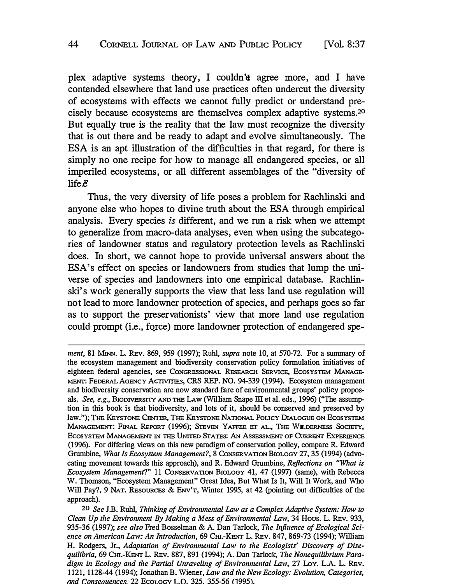plex adaptive systems theory, I couldn'et agree more, and I have contended elsewhere that land use practices often undercut the diversity of ecosystems with effects we cannot fully predict or understand precisely because ecosystems are themselves complex adaptive [systems.](https://systems.20)*20*  But equally true is the reality that the law must recognize the diversity that is out there and be ready to adapt and evolve simultaneously. The ESA is an apt illustration of the difficulties in that regard, for there is simply no one recipe for how to manage all endangered species, or all imperiled ecosystems, or all different assemblages of the "diversity of  $l$ ife $\ddot{\epsilon}$ 

Thus, the very diversity of life poses a problem for Rachlinski and anyone else who hopes to divine truth about the ESA through empirical analysis. Every species is different, and we run a risk when we attempt to generalize from macro-data analyses, even when using the subcategories of landowner status and regulatory protection levels as Rachlinski does. In short, we cannot hope to provide universal answers about the ESA's effect on species or landowners from studies that lump the universe of species and landowners into one empirical database. Rachlinski's work generally supports the view that less land use regulation will not lead to more landowner protection of species, and perhaps goes so far as to support the preservationists' view that more land use regulation could prompt (i.e., fqrce) more landowner protection of endangered spe-

*ment,* **81 MINN.** *L.* **REv. 869, 959 (1997); Ruhl,** *supra note* **10,** *at* **570-72.** *For a summary of the ecosystem management and biodiversity conservation policy formulation initiatives of*  eighteen federal agencies, see CONGRESSIONAL RESEARCH SERVICE, ECOSYSTEM MANAGE-*MENT: FEDERAL AGENCY ACTIVITIES, CRS REP. NO.* **94-339 (1994).** *Ecosystem management and biodiversity conservation are now standard fare of environmental groups' policy proposals. See, e.g., BIODIVERSITY AND TI1E LAW (William Snape ill et al. eds.,* **1996)** *(''The assumption in this book is that biodiversity, and lots of it, should be conserved and preserved by law."); THE KEYSTONE CENTER, THE KEYSTONE NATIONAL PoLICY DIALOGUE ON EcosYsTEM MANAGEMENT: FINAL REPORT* **(1996);** *STEVEN YAFFEE ET AL., THE WILDERNESS SOCIETY, EcosYSTEM MANAGEMENT IN TIIE UNITED STATES: AN ASSESSMENT OF CURRENT EXPERIENCE*  **(1996).** *For differing views on this new paradigm of conservation policy, compare* **R.** *Edward Grumbine, What Is Ecosystem Management?,* **8** *CONSERVATION BIOLOGY* **27, 35 (1994)** *(advocating movement towards this approach), and R. Edward Grumbine, Reflections on "What is Ecosystem Management?" 11 CONSERVATION BIOLOGY* **41, 47 (1997)** *(same), with Rebecca W. Thomson, "Ecosystem Management" Great Idea, But What Is It, Will It Work, and Who Will Pay?,* **9** *NAT. REsoURCES & ENV'T, Winter* **1995,** *at* **42** *(pointing out difficulties of the approach).* 

*<sup>20</sup> See J.B. Ruhl, Thinking of Environmental Law as a Complex Adaptive System: How to Clean Up the Environment By Making a Mess of Environmental Law,* **34** *Hous.* **L. REv. 933, 935-36 (1997);** *see also Fred Bosselman* **&** *A. Dan Tarlock, The Influence of Ecological Science on American Law: An Introduction,* **69** *Cm.-KENT L.* **REv. 847, 869-73 (1994);** *William H. Rodgers, Jr., Adaptation of Environmental Law to the Ecologists' Discovery of Disequilibria,* **69** *Cm.-KENT L.* **REv. 887, 891 (1994);** *A. Dan Tarlock, The Nonequilibrium Paradigm in Ecology and the Partial Unraveling of Environmental Law,* **27** *LoY. L.A.* **L. REv. 1121, 1128-44 (1994);** *Jonathan B. Wiener, Law and the New Ecology: Evolution, Categories, nd Conseauence .* **22** *EcoLOG L.O.* **325. 355-56** *(* **995).**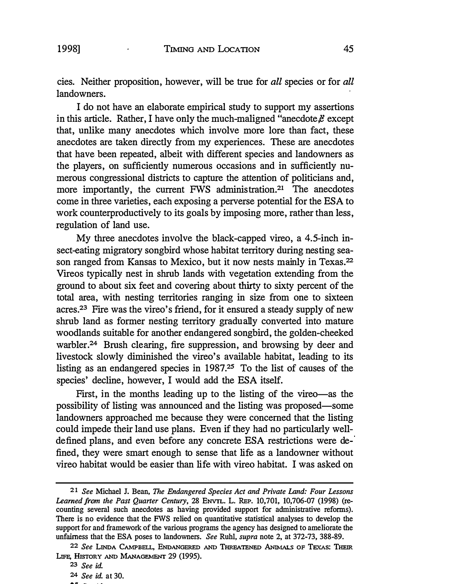cies. Neither proposition, however, will be true for *all* species or for *all*  landowners.

I do not have an elaborate empirical study to support my assertions in this article. Rather, I have only the much-maligned "anecdote, $\ddot{e}$  except that, unlike many anecdotes which involve more lore than fact, these anecdotes are taken directly from my experiences. These are anecdotes that have been repeated, albeit with different species and landowners as the players, on sufficiently numerous occasions and in sufficiently numerous congressional districts to capture the attention of politicians and, more importantly, the current FWS [administration.](https://administration.21)**21** The anecdotes come in three varieties, each exposing a perverse potential for the ESA to work counterproductively to its goals by imposing more, rather than less, regulation of land use.

My three anecdotes involve the black-capped vireo, a 4.5-inch insect-eating migratory songbird whose habitat territory during nesting season ranged from Kansas to Mexico, but it now nests mainly in [Texas.](https://Texas.22)**<sup>22</sup>** Vireos typically nest in shrub lands with vegetation extending from the ground to about six feet and covering about thirty to sixty percent of the total area, with nesting territories ranging in size from one to sixteen [acres.](https://acres.23)**23** Fire was the vireo's friend, for it ensured a steady supply of new shrub land as former nesting territory gradually converted into mature woodlands suitable for another endangered songbird, the golden-cheeked [warbler.](https://warbler.24)**24** Brush clearing, fire suppression, and browsing by deer and livestock slowly diminished the vireo's available habitat, leading to its listing as an endangered species in 1987.**25** To the list of causes of the species' decline, however, I would add the ESA itself.

First, in the months leading up to the listing of the vireo-as the possibility of listing was announced and the listing was proposed-some landowners approached me because they were concerned that the listing could impede their land use plans. Even if they had no particularly welldefined plans, and even before any concrete ESA restrictions were defined, they were smart enough to sense that life as a landowner without vireo habitat would be easier than life with vireo habitat. I was asked on

**<sup>21</sup>***See* **Michael J. Bean,** *The Endangered Species Act and Private Land: Four Lessons Learned from the Past Quarter Century,* **28 ENVTL. L. REP. 10,701, 10,706-07 (1998) (recounting several such anecdotes as having provided support for administrative reforms).**  There is no evidence that the FWS relied on quantitative statistical analyses to develop the **support for and framework of the various programs the agency has designed to ameliorate the unfairness that the ESA poses to landowners.** *See* **Ruhl,** *supra* **note 2, at 372-73, 388-89.** 

**<sup>22</sup>***See* **LINDA CAMPBELL, ENDANGERED AND THREATENED ANlMALs OF TEXAs: THEIR LIFE, HISTORY AND MANAGEMENT 29 (1995).** 

**<sup>23</sup>** *See id.* 

**<sup>24</sup>** *See id.* **at 30.**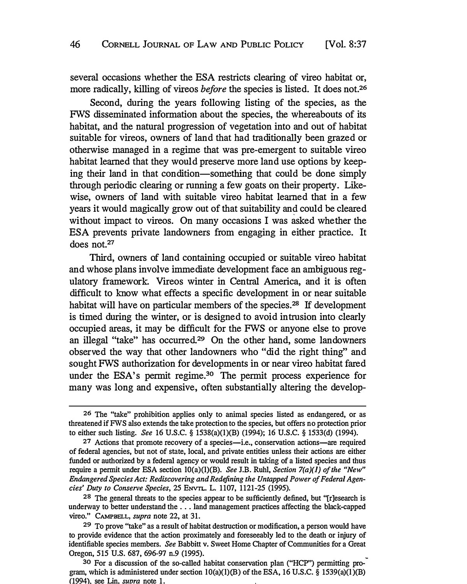several occasions whether the ESA restricts clearing of vireo habitat or, more radically, killing of vireos *before* the species is listed. It does not.**<sup>26</sup>**

Second, during the years following listing of the species, as the FWS disseminated information about the species, the whereabouts of its habitat, and the natural progression of vegetation into and out of habitat suitable for vireos, owners of land that had traditionally been grazed or otherwise managed in a regime that was pre-emergent to suitable vireo habitat learned that they would preserve more land use options by keeping their land in that condition-something that could be done simply through periodic clearing or running a few goats on their property. Likewise, owners of land with suitable vireo habitat learned that in a few years it would magically grow out of that suitability an� could be cleared without impact to vireos. On many occasions I was asked whether the ESA prevents private landowners from engaging in either practice. It does not.**<sup>27</sup>**

Third, owners of land containing occupied or suitable vireo habitat and whose plans involve immediate development face an ambiguous regulatory framework. Vireos winter in Central America, and it is often difficult to know what effects a specific development in or near suitable habitat will have on particular members of the [species.](https://species.28)**28** If development is timed during the winter, or is designed to avoid intrusion into clearly occupied areas, it may be difficult for the FWS or anyone else to prove an illegal "take" has occurred.**29** On the other hand, some landowners observed the way that other landowners who "did the right thing" and sought FWS authorization for developments in or near vireo habitat fared under the ESA's permit regime.<sup>30</sup> The permit process experience for many was long and expensive, often substantially altering the develop-

**<sup>26</sup>** *The ''take" prohibition applies only to animal species listed as endangered, or as threatened if FWS also extends the take protection to the species, but offers no protection prior to either such listing. See 16 U.S.C. § 1538(a)(l)(B) (1994); 16 U.S.C. § 1533(d) (1994).* 

<sup>27</sup> Actions that promote recovery of a species-i.e., conservation actions-are required *of federal agencies, but not of state, local, and private entities unless their actions are either funded or authorized by a federal agency or would result in taking of a listed species and thus require a permit under ESA section lO(a)(l)(B). See J.B. Ruhl, Section 7(a)(l) of the "New" Endangered Species Act: Rediscovering and Redefining the Untapped Power of Federal Agencies' Duty to Conserve Species, 25 ENVTL. L. 1107, 1121-25 (1995).* 

**<sup>28</sup>** *The general threats to the species appear to be sufficiently defined, but "[r]esearch is underway to better understand the ... land management practices affecting the black-capped vireo." CAMPBELL, supra note 22, at 31.* 

**<sup>29</sup>** *To prove ''take" as a result of habitat destruction or modification, a person would have*  to provide evidence that the action proximately and foreseeably led to the death or injury of *identifiable species members. See Babbitt v. Sweet Home Chapter of Communities for a Great Oregon, 515 U.S. 687, 696-97 n.9 (1995).* 

**<sup>30</sup>** *For a discussion of the so-called habitat conservation plan ("HCP") permitting pro gram, which is administered under section lO(a)(l)(B) of the ESA, 16 U.S.C. § 1539(a)(l)(B) (1994). see Lin. suvra note 1.*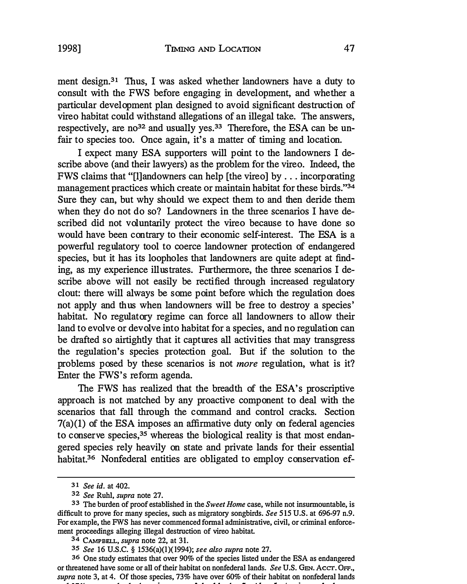ment [design.](https://design.31)**<sup>3</sup>1** Thus, I was asked whether landowners have a duty to consult with the FWS before engaging in development, and whether a particular development plan designed to avoid significant destruction of vireo habitat could withstand allegations of an illegal take. The answers, respectively, are no**32** and usually yes.**33** Therefore, the ESA can be unfair to species too. Once again, it's a matter of timing and location.

I expect many ESA supporters will point to the landowners I describe above (and their lawyers) as the problem for the vireo. Indeed, the FWS claims that "[l] andowners can help [the vireo] by ... incorporating management practices which create or maintain habitat for these birds."**<sup>34</sup>** Sure they can, but why should we expect them to and then deride them when they do not do so? Landowners in the three scenarios I have described did not voluntarily protect the vireo because to have done so would have been contrary to their economic self-interest. The ESA is a powerful regulatory tool to coerce landowner protection of endangered species, but it has its loopholes that landowners are quite adept at finding, as my experience illustrates. Furthermore, the three scenarios I describe above will not easily be rectified through increased regulatory clout: there will always be some point before which the regulation does not apply and thus when landowners will be free to destroy a species' habitat. No regulatory regime can force all landowners to allow their land to evolve or devolve into habitat for a species, and no regulation can be drafted so airtightly that it captures all activities that may transgress the regulation's species protection goal. But if the solution to the problems posed by these scenarios is not *more* regulation, what is it? Enter the FWS's reform agenda.

The FWS has realized that the breadth of the ESA's proscriptive approach is not matched by any proactive component to deal with the scenarios that fall through the command and control cracks. Section 7(a)(l) of the ESA imposes an affirmative duty only on federal agencies to conserve species,**<sup>3</sup>5** whereas the biological reality is that most endangered species rely heavily on state and private lands for their essential [habitat.](https://habitat.36)**<sup>3</sup>6** Nonfederal entities are obligated to employ conservation ef-

**<sup>3</sup>1** *See id. at 402.* 

**<sup>32</sup>** *See Ruhl, supra note 27.* 

**<sup>33</sup>** *The burden of proof established in the Sweet Home case, while not insurmountable, is difficult to prove for many species, such as migratory songbirds. See 515 U.S. at 696-97 n.9. For example, the FWS has never commenced formal administrative, civil, or criminal enforcement proceedings alleging illegal destruction of vireo habitat.* 

**<sup>34</sup> CAMPBELL,** *supra note 22, at 31.* 

**<sup>3</sup>5** *See 16 U.S.C. § 1536(a)(l)( l994); see also supra note 27.* 

**<sup>3</sup>6** *One study estimates that over 90% of the species listed under the ESA as endangered or threatened have some or all of their habitat on nonfederal lands. See U.S. GEN. Acer. OFF., supra note 3, at 4. Of those species, 73% have over 60% of their habitat on nonfederal lands . .*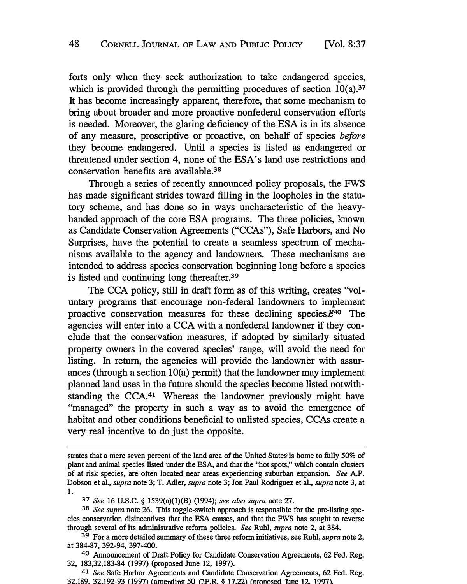forts only when they seek authorization to take endangered species, which is provided through the permitting procedures of section 10(a).<sup>37</sup> It has become increasingly apparent, therefore, that some mechanism to bring about broader and more proactive nonfederal conservation efforts is needed. Moreover, the glaring deficiency of the ESA is in its absence of any measure, proscriptive or proactive, on behalf of species *before* they become endangered. Until a species is listed as endangered or threatened under section 4, none of the ESA's land use restrictions and **<sup>38</sup>** conservation benefits are available.

Through a series of recently announced policy proposals, the FWS has made significant strides toward filling in the loopholes in the statutory scheme, and has done so in ways uncharacteristic of the heavyhanded approach of the core ESA programs. The three policies, known as Candidate Conservation Agreements ("CCAs"), Safe Harbors, and No Surprises, have the potential to create a seamless spectrum of mechanisms available to the agency and landowners. These mechanisms are intended to address species conservation beginning long before a species is listed and continuing long [thereafter.](https://thereafter.39)**39** 

The CCA policy, still in draft form as of this writing, creates "voluntary programs that encourage non-federal landowners to implement proactive conservation measures for these declining species. $e^{40}$  The agencies will enter into a CCA with a nonfederal landowner if they conclude that the conservation measures, if adopted by similarly situated property owners in the covered species' qmge, will avoid the need for listing. In return, the agencies will provide the landowner with assurances (through a section lO(a) permit) that the landowner may implement planned land uses in the future should the species become listed notwithstanding the CCA.**41** Whereas the landowner previously might have "managed" the property in such a way as to avoid the emergence of habitat and other conditions beneficial to unlisted species, CCAs create a very real incentive to do just the opposite.

strates that a mere seven percent of the land area of the United States is home to fully 50% of **plant and animal species listed under the ESA, and that the "hot spots," which contain clusters of at risk species, are often located near areas experiencing suburban expansion.** *See* **A.P. Dobson et al.,** *supra* **note 3; T. Adler,** *supra* **note 3; Jon Paul Rodriguez et al.,** *supra* **note 3, at 1.** 

**<sup>37</sup>***See* **16 U.S.C. § 1539(a)(l)(B) (1994);** *see also supra* **note 27.**

**<sup>38</sup>** *See supra* **note 26. This toggle-switch approach is responsible for the pre-listing species conservation disincentives that the ESA causes, and that the FWS has sought to reverse through several of its administrative reform policies.** *See* **Ruhl,** *supra* **note 2, at 384.**

**<sup>39</sup> For a more detailed summary of these three reform initiatives, see Ruhl,** *supra* **note 2, at 384-87, 392-94, 397-400.** 

**<sup>40</sup>Announcement of Draft Policy for Candidate Conservation Agreements, 62 Fed. Reg. 32, 183,32,183-84 (1997) (proposed June 12, 1997).** 

**<sup>41</sup>** *See* **Safe Harbor Agreements and Candidate Conservation Agreements, 62 Fed. Reg. 32.189. 32.192-93 (1997) (amending 50 CFR**  $\frac{1}{2}$  **17.22) (proposed line 12. 1997).**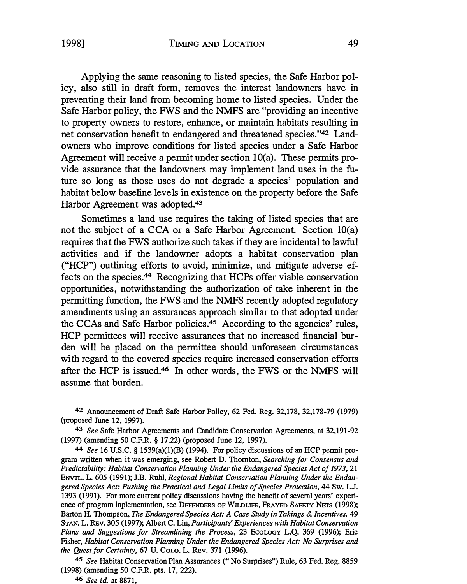Applying the same reasoning to listed species, the Safe Harbor policy, also still in draft form, removes the interest landowners have in preventing their land from becoming home to listed species. Under the Safe Harbor policy, the FWS and the NMFS are "providing an incentive to property owners to restore, enhance, or maintain habitats resulting in net conservation benefit to endangered and threatened species." 42 Landowners who improve conditions for listed species under a Safe Harbor Agreement will receive a permit under section lO(a). These permits provide assurance that the landowners may implement land uses in the future so long as those uses do not degrade a species' population and habitat below baseline levels in existence on the property before the Safe Harbor Agreement was [adopted.](https://adopted.43)**43**

Sometimes a land use requires the taking of listed species that are not the subject of a CCA or a Safe Harbor Agreement. Section 10(a) requires that the FWS authorize such takes if they are incidental to lawful activities and if the landowner adopts a habitat conservation plan ("HCP") outlining efforts to avoid, minimize, and mitigate adverse effects on the [species.](https://species.44)**44** Recognizing that HCPs offer viable conservation opportunities, notwithstanding the authorization of take inherent in the permitting function, the FWS and the NMFS recently adopted regulatory amendments using an assurances approach similar to that adopted under the CCAs and Safe Harbor [policies.](https://policies.45)**45** According to the agencies' rules, HCP permittees will receive assurances that no increased financial burden will be placed on the permittee should unforeseen circumstances with regard to the covered species require increased conservation efforts after the HCP is [issued.](https://issued.46)**46** In other words, the FWS or the NMFS will assume that burden.

<sup>42</sup>**Announcement of Draft Safe Harbor Policy, 62 Fed. Reg. 32,178, 32,178-79 (1979) (proposed June 12, 1997).** 

**<sup>43</sup>** *See* **Safe Harbor Agreements and Candidate Conservation Agreements, at 32,191-92 (1997) (amending 50 C.F.R. § 17.22) (proposed June 12, 1997).** 

**<sup>44</sup>** *See* **16 U.S.C. § 1539(a)(l)(B) (1994). For policy discussions of an HCP permit program written when it was emerging, see Robert D. Thornton,** *Searching for Consensus and*  **Predictability: Habitat Conservation Planning Under the Endangered Species Act of 1973, 21 ENVIL. L. 605 (1991); J.B. Ruhl,** *Regional Habitat Conservation Planning Under the Endangered Species Act: Pushing the Practical and Legal Limits of Species Protection,* **44 Sw. L.J. 1393 (1991). For more current policy discussions having the benefit of several years' experience of program inplementation, see DEFENDERS OF WILDLIFE, FRAYED SAFETY NETS (1998); Barton H. Thompson,** *The Endangered Species Act: A Case Study in Takings & incentives,* **49 STAN. L. REv. 305 (1997); Albert C. Lin,** *Participants' Experiences with Habitat Conservation Plans and Suggestions for Streamlining the Process,* **23 EcoLOGY L.Q. 369 (1996); Eric Fisher,** *Habitat Conservation Planning Under the Endangered Species Act: No Surprises and the Quest for Certainty, 61* **U.** *Cow.* **L. REv. 371 (1996).**

**<sup>45</sup>** *See* **Habitat Conservation Plan Assurances (" No Surprises") Rule, 63 Fed. Reg. 8859 (1998) (amending 50 C.F.R. pts. 17, 222).** 

**<sup>46</sup>** *See id.* **at 8871.**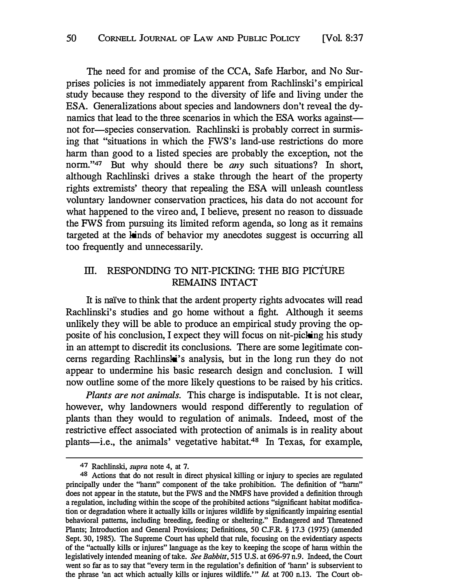The need for and promise of the CCA, Safe Harbor, and No Surprises policies is not immediately apparent from Rachlinski's empirical study because they respond to the diversity of life and living under the ESA. Generalizations about species and landowners don't reveal the dynamics that lead to the three scenarios in which the ESA works against not for-species conservation. Rachlinski is probably correct in surmising that "situations in which the FWS's land-use restrictions do more harm than good to a listed species are probably the exception, not the norm."*47* But why should there be *any* such situations? In short, although Rachlinski drives a stake through the heart of the property rights extremists' theory that repealing the ESA will unleash countless voluntary landowner conservation practices, his data do not account for what happened to the vireo and, I believe, present no reason to dissuade the FWS from pursuing its limited reform agenda, so long as it remains targeted at the kinds of behavior my anecdotes suggest is occurring all too frequently and unnecessarily.

## III. RESPONDING TO NIT-PICKING: THE BIG PICTURE REMAINS INTACT

It is naïve to think that the ardent property rights advocates will read Rachlinski's studies and go home without a fight. Although it seems unlikely they will be able to produce an empirical study proving the opposite of his conclusion, I expect they will focus on nit-picking his study in an attempt to discredit its conclusions. There are some legitimate concerns regarding Rachlinski's analysis, but in the long run they do not appear to undermine his basic research design and conclusion. I will now outline some of the more likely questions to be raised by his critics.

*Plants are not animals.* This charge is indisputable. It is not clear, however, why landowners would respond differently to regulation of plants than they would to regulation of animals. Indeed, most of the restrictive effect associated with protection of animals is in reality about plants-i.e., the animals' vegetative [habitat.](https://habitat.48)**48** In Texas, for example,

*<sup>47</sup> Rachlinski, supra note 4, at 7.* 

**<sup>48</sup>** *Actions that do not result in direct physical killing or injury to species are regulated principally under the "hann" component of the take prohibition. The definition of "hann" does not appear in the statute, but the FWS and the NMFS have provided a definition through a regulation, including within the scope of the prohibited actions "significant habitat modification or degradation where it actually kills or injures wildlife by significantly impairing esential*  behavioral patterns, including breeding, feeding or sheltering." Endangered and Threatened *Plants; Introduction and General Provisions; Definitions, 50 C.F.R. § 17.3 (1975) (amended Sept. 30, 1985). The Supreme Court has upheld that rule, focusing on the evidentiary aspects of the "actually kills or injures" language as the key to keeping the scope of hann within the legislatively intended meaning of take. See Babbitt, 515 U.S. at 696-97 n.9. Indeed, the Court went so far as to say that "every term in the regulation's definition of 'hann' is subservient to the phrase 'an act which actually kills or injures wildlife."' Id. at 700 n.13. The Court ob-*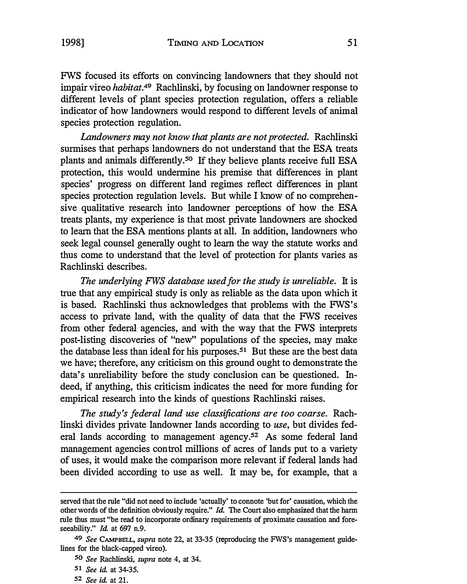FWS focused its efforts on convincing landowners that they should not impair vireo *[habitat.](https://habitat.49)49* Rachlinski, by focusing on landowner response to different levels of plant species protection regulation, offers a reliable indicator of how landowners would respond to different levels of animal species protection regulation.

*Landowners may not know that plants are not protected.* Rachlinski surmises that perhaps landowners do not understand that the ESA treats plants and animals [differently.](https://differently.50)**50** If they believe plants receive full ESA protection, this would undermine his premise that differences in plant species' progress on different land regimes reflect differences in plant species protection regulation levels. But while I know of no comprehensive qualitative research into landowner perceptions of how the ESA treats plants, my experience is that most private landowners are shocked to learn that the ESA mentions plants at all. In addition, landowners who seek legal counsel generally ought to learn the way the statute works and thus come to understand that the level of protection for plants varies as Rachlinski describes.

*The underlying FWS database used for the study is unreliable.* It is true that any empirical study is only as reliable as the data upon which it is based. Rachlinski thus acknowledges that problems with the FWS's access to private land, with the quality of data that the FWS receives from other federal agencies, and with the way that the FWS interprets post-listing discoveries of "new" populations of the species, may make the database less than ideal for his [purposes.](https://purposes.51)**51** But these are the best data we have; therefore, any criticism on this ground ought to demonstrate the data's unreliability before the study conclusion can be questioned. Indeed, if anything, this criticism indicates the need for more funding for empirical research into the kinds of questions Rachlinski raises.

*The study's federal land use classifications are too coarse.* Rachlinski divides private landowner lands according to *use,* but divides federal lands according to management agency.**52** As some federal land management agencies control millions of acres of lands put to a variety of uses, it would make the comparison more relevant if federal lands had been divided according to use as well. It may be, for example, that a

*served that the rule "did not need to include 'actually' to connote 'but for' causation, which the other words of the definition obviously require." Id. The Court also emphasized that the harm rule thus must "be read to incorporate ordinary requirements of proximate causation and foreseeability." Id. at 697 n.9.* 

**<sup>49</sup>** *See CAMPBELL, supra note 22, at 33-35 (reproducing the FWS's management guidelines for the black-capped vireo).* 

**<sup>50</sup>** *See Rachlinski, supra note 4, at 34.* 

**<sup>51</sup>***See id. at 34-35.* 

**<sup>52</sup>** *See id. at 21.*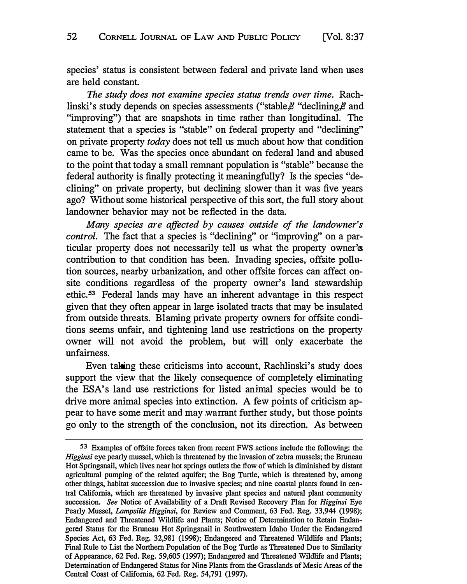species' status is consistent between federal and private land when uses are held constant.

*The study does not examine species status trends over time.* Rachlinski's study depends on species assessments ("stable, $\ddot{e}$ " declining, $\ddot{e}$  and "improving") that are snapshots in time rather than longitudinal. The statement that a species is "stable" on federal property and "declining" on private property *today* does not tell us much about how that condition came to be. Was the species once abundant on federal land and abused to the point that today a small remnant population is "stable" because the federal authority is finally protecting it meaningfully? Is the species "declining" on private property, but declining slower than it was five years ago? Without some historical perspective of this sort, the full story about landowner behavior may not be reflected in the data.

*Many species are affected by causes outside of the landowner's control.* The fact that a species is "declining" or "improving" on a particular property does not necessarily tell us what the property owner'es contribution to that condition has been. Invading species, offsite pollution sources, nearby urbanization, and other offsite forces can affect onsite conditions regardless of the property owner's land stewardship ethic.**53** Federal lands may have an inherent advantage in this respect given that they often appear in large isolated tracts that may be insulated from outside threats. Blaming private property owners for offsite conditions seems unfair, and tightening land use restrictions on the property owner will not avoid the problem, but will only exacerbate the unfairness.

Even taking these criticisms into account, Rachlinski's study does support the view that the likely consequence of completely eliminating the ESA's land use restrictions for listed animal species would be to drive more animal species into extinction. A few points of criticism appear to have some merit and may .warrant further study, but those points go only to the strength of the conclusion, not its direction. As between

**<sup>53</sup>** *Examples of offsite forces taken from recent FWS actions include the following: the Higginsi eye pearly mussel, which is threatened by the invasion of zebra mussels; the Bruneau Hot Springsnail, which lives near hot springs outlets the flow of which is diminished by distant agricultural pumping of the related aquifer; the Bog Turtle, which is threatened by, among other things, habitat succession due to invasive species; and nine coastal plants found in central California, which are threatened by invasive plant species and natural plant community succession. See Notice of Availability of a Draft Revised Recovery Plan for Higginsi Eye Pearly Mussel, Lampsilis Higginsi, for Review and Comment, 63 Fed. Reg. 33,944 (1998); Endangered and Threatened Wildlife and Plants; Notice of Determination to Retain Endangered Status for the Bruneau Hot Springsnail in Southwestern Idaho Under the Endangered Species Act, 63 Fed. Reg. 32,981 (1998); Endangered and Threatened Wildlife and Plants; Final Rule to List the Northern Population of the Bog Turtle as Threatened Due to Similarity of Appearance, 62 Fed. Reg. 59,605 (1997); Endangered and Threatened Wildlife and Plants; Determination of Endangered Status for Nine Plants from the Grasslands of Mesic Areas of the Central Coast of California, 62 Fed. Reg. 54,791 (1997).*